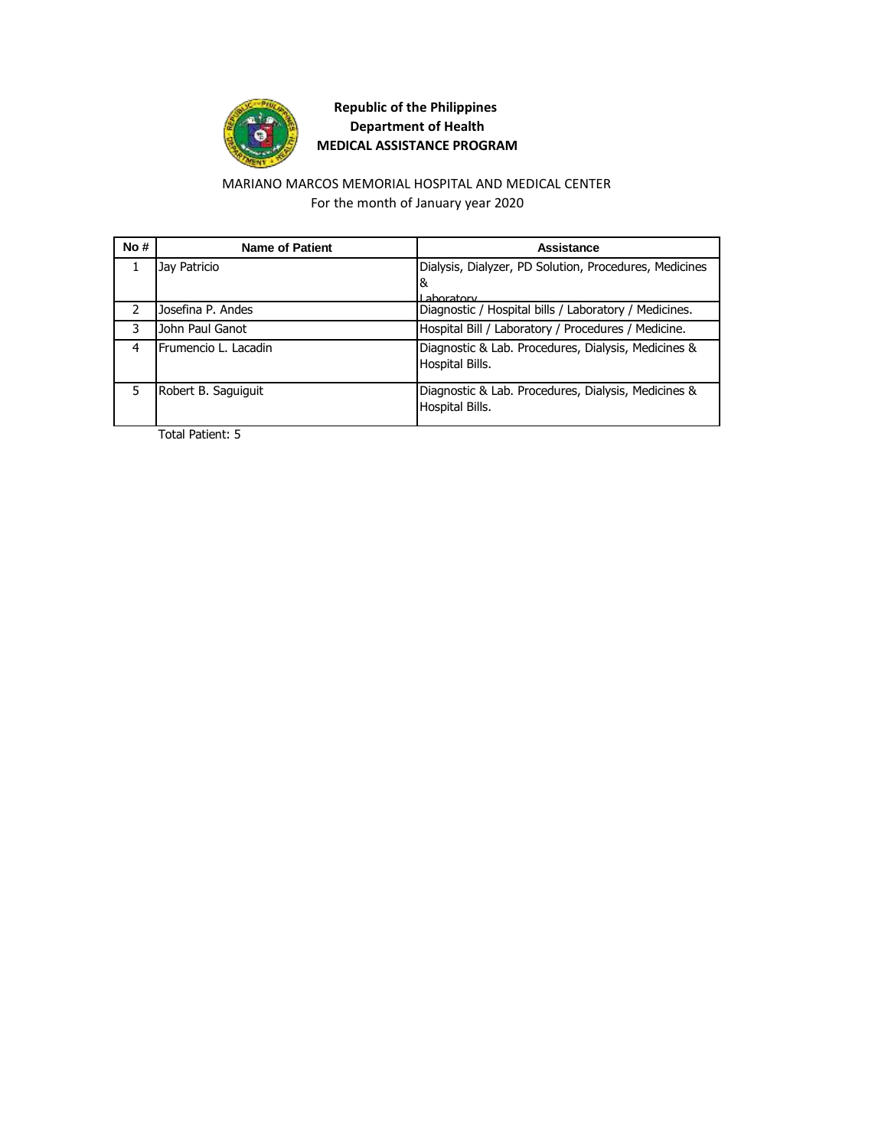

### MARIANO MARCOS MEMORIAL HOSPITAL AND MEDICAL CENTER For the month of January year 2020

| No# | <b>Name of Patient</b> | Assistance                                                             |
|-----|------------------------|------------------------------------------------------------------------|
|     | Jay Patricio           | Dialysis, Dialyzer, PD Solution, Procedures, Medicines                 |
|     |                        | &                                                                      |
|     |                        | I ahoratory                                                            |
|     | Josefina P. Andes      | Diagnostic / Hospital bills / Laboratory / Medicines.                  |
| 3   | John Paul Ganot        | Hospital Bill / Laboratory / Procedures / Medicine.                    |
| 4   | Frumencio L. Lacadin   | Diagnostic & Lab. Procedures, Dialysis, Medicines &<br>Hospital Bills. |
| 5   | Robert B. Saguiguit    | Diagnostic & Lab. Procedures, Dialysis, Medicines &<br>Hospital Bills. |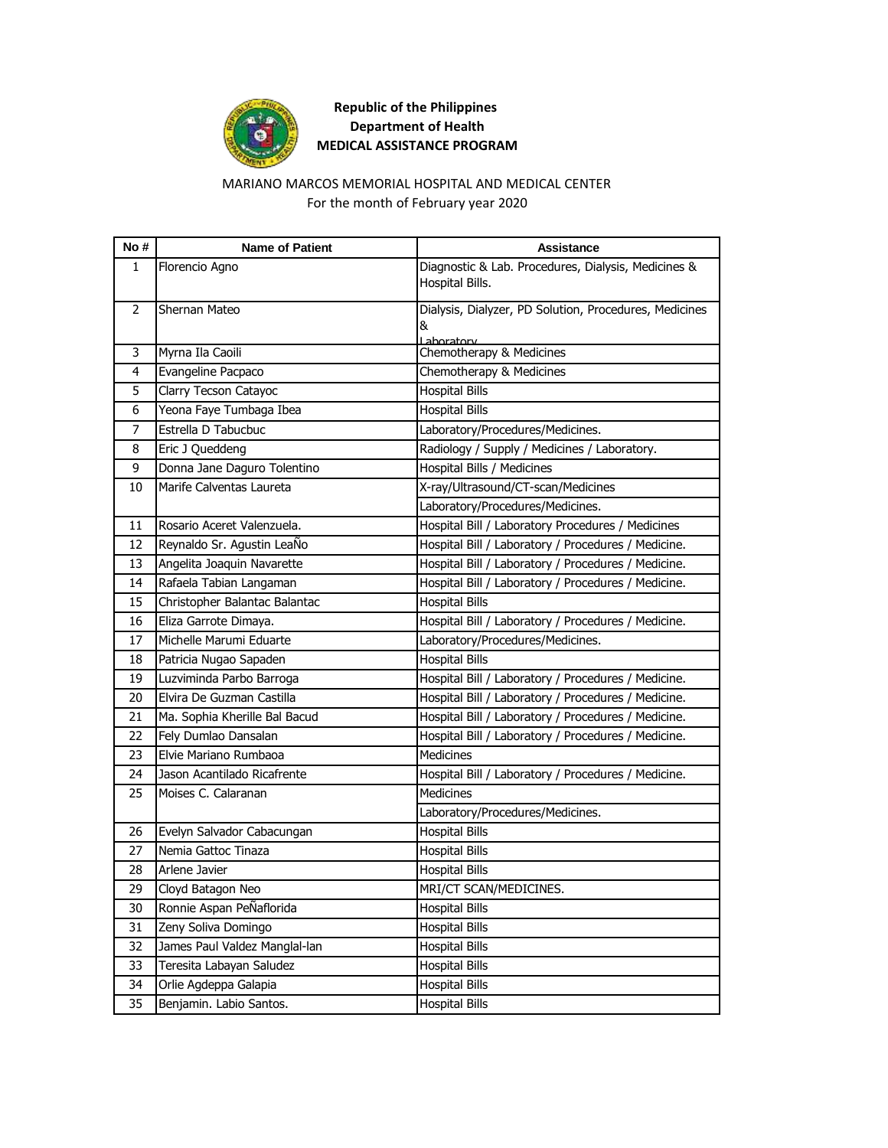

### MARIANO MARCOS MEMORIAL HOSPITAL AND MEDICAL CENTER For the month of February year 2020

| No# | <b>Name of Patient</b>        | <b>Assistance</b>                                      |
|-----|-------------------------------|--------------------------------------------------------|
| 1   | Florencio Agno                | Diagnostic & Lab. Procedures, Dialysis, Medicines &    |
|     |                               | Hospital Bills.                                        |
| 2   | Shernan Mateo                 | Dialysis, Dialyzer, PD Solution, Procedures, Medicines |
|     |                               | &                                                      |
| 3   | Myrna Ila Caoili              | Laboratory<br>Chemotherapy & Medicines                 |
| 4   | Evangeline Pacpaco            | Chemotherapy & Medicines                               |
| 5   | Clarry Tecson Catayoc         | <b>Hospital Bills</b>                                  |
| 6   | Yeona Faye Tumbaga Ibea       | <b>Hospital Bills</b>                                  |
| 7   | Estrella D Tabucbuc           | Laboratory/Procedures/Medicines.                       |
| 8   | Eric J Queddeng               | Radiology / Supply / Medicines / Laboratory.           |
| 9   | Donna Jane Daguro Tolentino   | Hospital Bills / Medicines                             |
| 10  | Marife Calventas Laureta      | X-ray/Ultrasound/CT-scan/Medicines                     |
|     |                               | Laboratory/Procedures/Medicines.                       |
| 11  | Rosario Aceret Valenzuela.    | Hospital Bill / Laboratory Procedures / Medicines      |
| 12  | Reynaldo Sr. Agustin LeaÑo    | Hospital Bill / Laboratory / Procedures / Medicine.    |
| 13  | Angelita Joaquin Navarette    | Hospital Bill / Laboratory / Procedures / Medicine.    |
| 14  | Rafaela Tabian Langaman       | Hospital Bill / Laboratory / Procedures / Medicine.    |
| 15  | Christopher Balantac Balantac | <b>Hospital Bills</b>                                  |
| 16  | Eliza Garrote Dimaya.         | Hospital Bill / Laboratory / Procedures / Medicine.    |
| 17  | Michelle Marumi Eduarte       | Laboratory/Procedures/Medicines.                       |
| 18  | Patricia Nugao Sapaden        | <b>Hospital Bills</b>                                  |
| 19  | Luzviminda Parbo Barroga      | Hospital Bill / Laboratory / Procedures / Medicine.    |
| 20  | Elvira De Guzman Castilla     | Hospital Bill / Laboratory / Procedures / Medicine.    |
| 21  | Ma. Sophia Kherille Bal Bacud | Hospital Bill / Laboratory / Procedures / Medicine.    |
| 22  | Fely Dumlao Dansalan          | Hospital Bill / Laboratory / Procedures / Medicine.    |
| 23  | Elvie Mariano Rumbaoa         | Medicines                                              |
| 24  | Jason Acantilado Ricafrente   | Hospital Bill / Laboratory / Procedures / Medicine.    |
| 25  | Moises C. Calaranan           | <b>Medicines</b>                                       |
|     |                               | Laboratory/Procedures/Medicines.                       |
| 26  | Evelyn Salvador Cabacungan    | <b>Hospital Bills</b>                                  |
| 27  | Nemia Gattoc Tinaza           | <b>Hospital Bills</b>                                  |
| 28  | Arlene Javier                 | <b>Hospital Bills</b>                                  |
| 29  | Cloyd Batagon Neo             | MRI/CT SCAN/MEDICINES.                                 |
| 30  | Ronnie Aspan PeÑaflorida      | <b>Hospital Bills</b>                                  |
| 31  | Zeny Soliva Domingo           | <b>Hospital Bills</b>                                  |
| 32  | James Paul Valdez Manglal-lan | <b>Hospital Bills</b>                                  |
| 33  | Teresita Labayan Saludez      | <b>Hospital Bills</b>                                  |
| 34  | Orlie Agdeppa Galapia         | <b>Hospital Bills</b>                                  |
| 35  | Benjamin. Labio Santos.       | <b>Hospital Bills</b>                                  |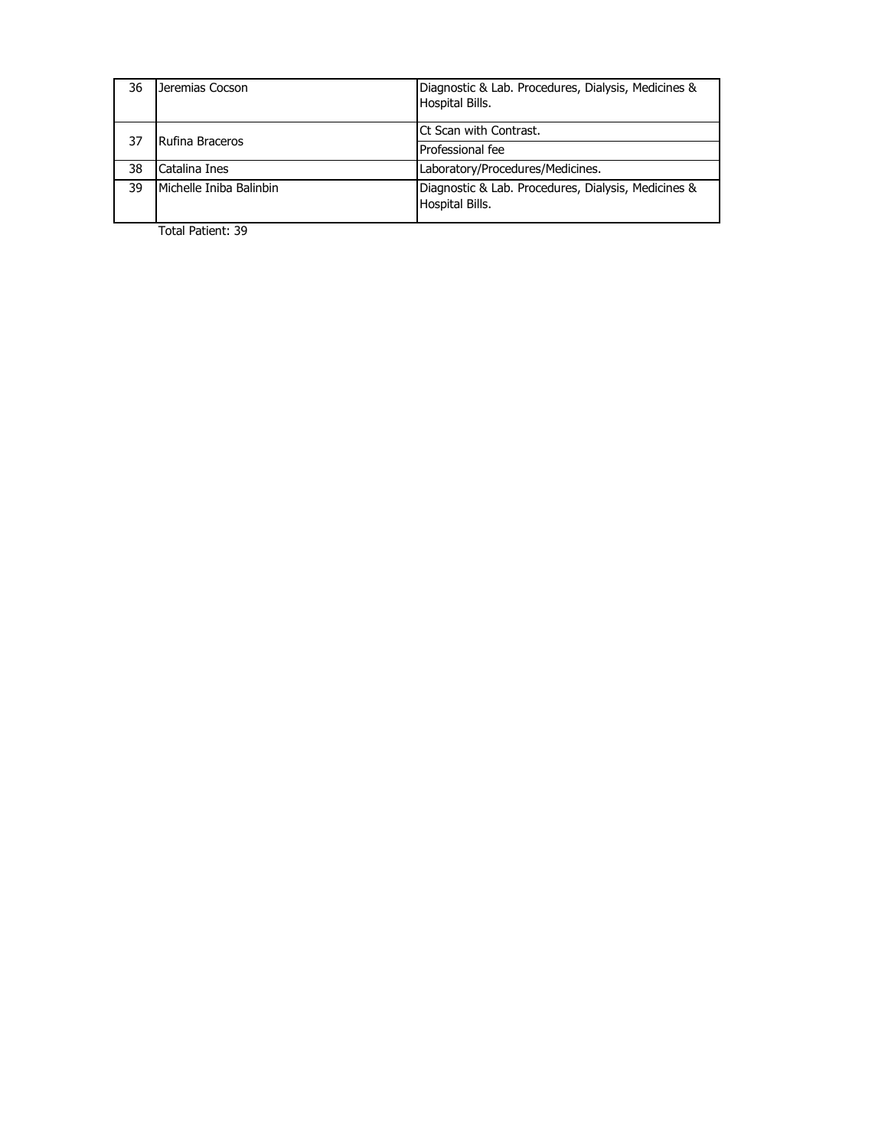| 36 | Jeremias Cocson         | Diagnostic & Lab. Procedures, Dialysis, Medicines &<br>Hospital Bills. |
|----|-------------------------|------------------------------------------------------------------------|
| 37 | Rufina Braceros         | <b>Ct Scan with Contrast.</b>                                          |
|    |                         | Professional fee                                                       |
| 38 | Catalina Ines           | Laboratory/Procedures/Medicines.                                       |
| 39 | Michelle Iniba Balinbin | Diagnostic & Lab. Procedures, Dialysis, Medicines &<br>Hospital Bills. |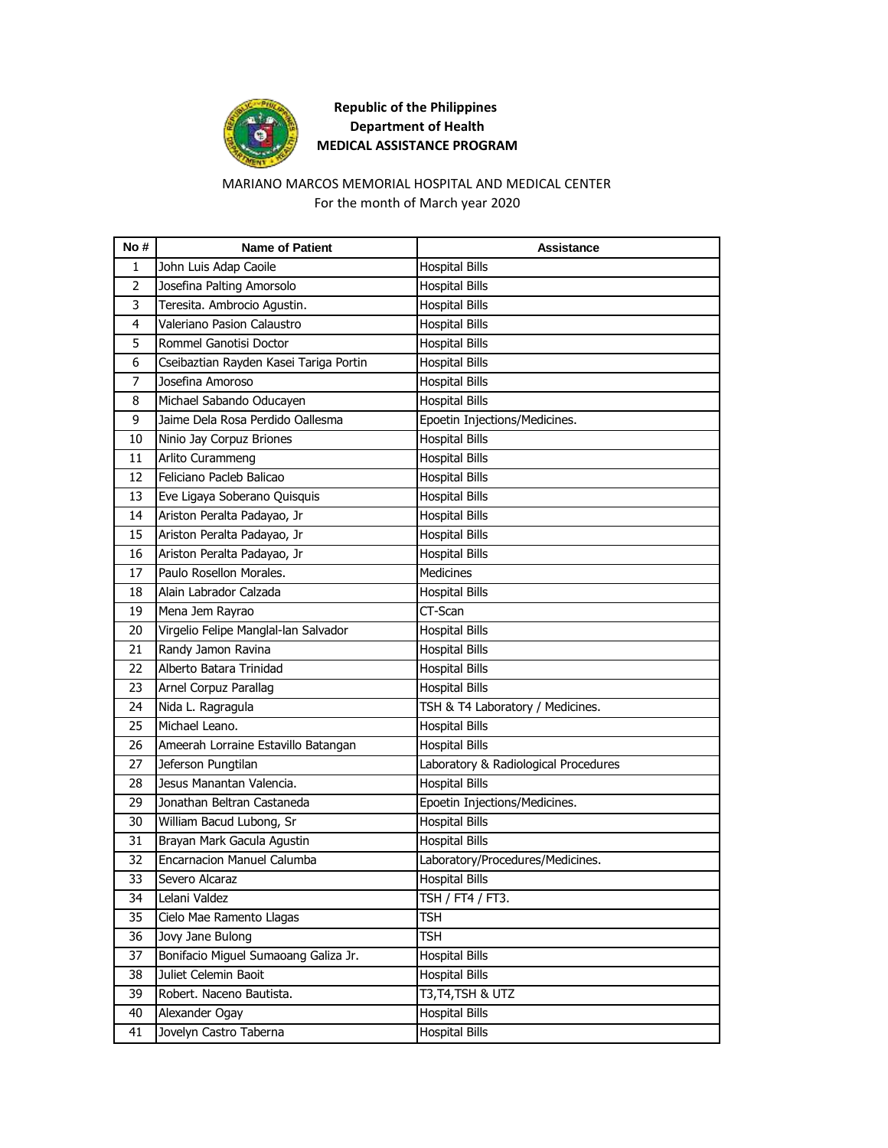

### MARIANO MARCOS MEMORIAL HOSPITAL AND MEDICAL CENTER For the month of March year 2020

| No #           | <b>Name of Patient</b>                 | Assistance                           |
|----------------|----------------------------------------|--------------------------------------|
| 1              | John Luis Adap Caoile                  | <b>Hospital Bills</b>                |
| $\overline{2}$ | Josefina Palting Amorsolo              | <b>Hospital Bills</b>                |
| 3              | Teresita. Ambrocio Agustin.            | <b>Hospital Bills</b>                |
| 4              | Valeriano Pasion Calaustro             | <b>Hospital Bills</b>                |
| 5              | Rommel Ganotisi Doctor                 | <b>Hospital Bills</b>                |
| 6              | Cseibaztian Rayden Kasei Tariga Portin | <b>Hospital Bills</b>                |
| 7              | Josefina Amoroso                       | <b>Hospital Bills</b>                |
| 8              | Michael Sabando Oducayen               | Hospital Bills                       |
| 9              | Jaime Dela Rosa Perdido Oallesma       | Epoetin Injections/Medicines.        |
| 10             | Ninio Jay Corpuz Briones               | <b>Hospital Bills</b>                |
| 11             | Arlito Curammeng                       | <b>Hospital Bills</b>                |
| 12             | Feliciano Pacleb Balicao               | <b>Hospital Bills</b>                |
| 13             | Eve Ligaya Soberano Quisquis           | <b>Hospital Bills</b>                |
| 14             | Ariston Peralta Padayao, Jr            | <b>Hospital Bills</b>                |
| 15             | Ariston Peralta Padayao, Jr            | <b>Hospital Bills</b>                |
| 16             | Ariston Peralta Padayao, Jr            | <b>Hospital Bills</b>                |
| 17             | Paulo Rosellon Morales.                | Medicines                            |
| 18             | Alain Labrador Calzada                 | <b>Hospital Bills</b>                |
| 19             | Mena Jem Rayrao                        | CT-Scan                              |
| 20             | Virgelio Felipe Manglal-lan Salvador   | <b>Hospital Bills</b>                |
| 21             | Randy Jamon Ravina                     | <b>Hospital Bills</b>                |
| 22             | Alberto Batara Trinidad                | <b>Hospital Bills</b>                |
| 23             | Arnel Corpuz Parallag                  | <b>Hospital Bills</b>                |
| 24             | Nida L. Ragragula                      | TSH & T4 Laboratory / Medicines.     |
| 25             | Michael Leano.                         | <b>Hospital Bills</b>                |
| 26             | Ameerah Lorraine Estavillo Batangan    | <b>Hospital Bills</b>                |
| 27             | Jeferson Pungtilan                     | Laboratory & Radiological Procedures |
| 28             | Jesus Manantan Valencia.               | <b>Hospital Bills</b>                |
| 29             | Jonathan Beltran Castaneda             | Epoetin Injections/Medicines.        |
| 30             | William Bacud Lubong, Sr               | <b>Hospital Bills</b>                |
| 31             | Brayan Mark Gacula Agustin             | <b>Hospital Bills</b>                |
| 32             | Encarnacion Manuel Calumba             | Laboratory/Procedures/Medicines.     |
| 33             | Severo Alcaraz                         | <b>Hospital Bills</b>                |
| 34             | Lelani Valdez                          | TSH / FT4 / FT3.                     |
| 35             | Cielo Mae Ramento Llagas               | TSH                                  |
| 36             | Jovy Jane Bulong                       | TSH                                  |
| 37             | Bonifacio Miguel Sumaoang Galiza Jr.   | <b>Hospital Bills</b>                |
| 38             | Juliet Celemin Baoit                   | <b>Hospital Bills</b>                |
| 39             | Robert. Naceno Bautista.               | T3, T4, TSH & UTZ                    |
| 40             | Alexander Ogay                         | <b>Hospital Bills</b>                |
| 41             | Jovelyn Castro Taberna                 | <b>Hospital Bills</b>                |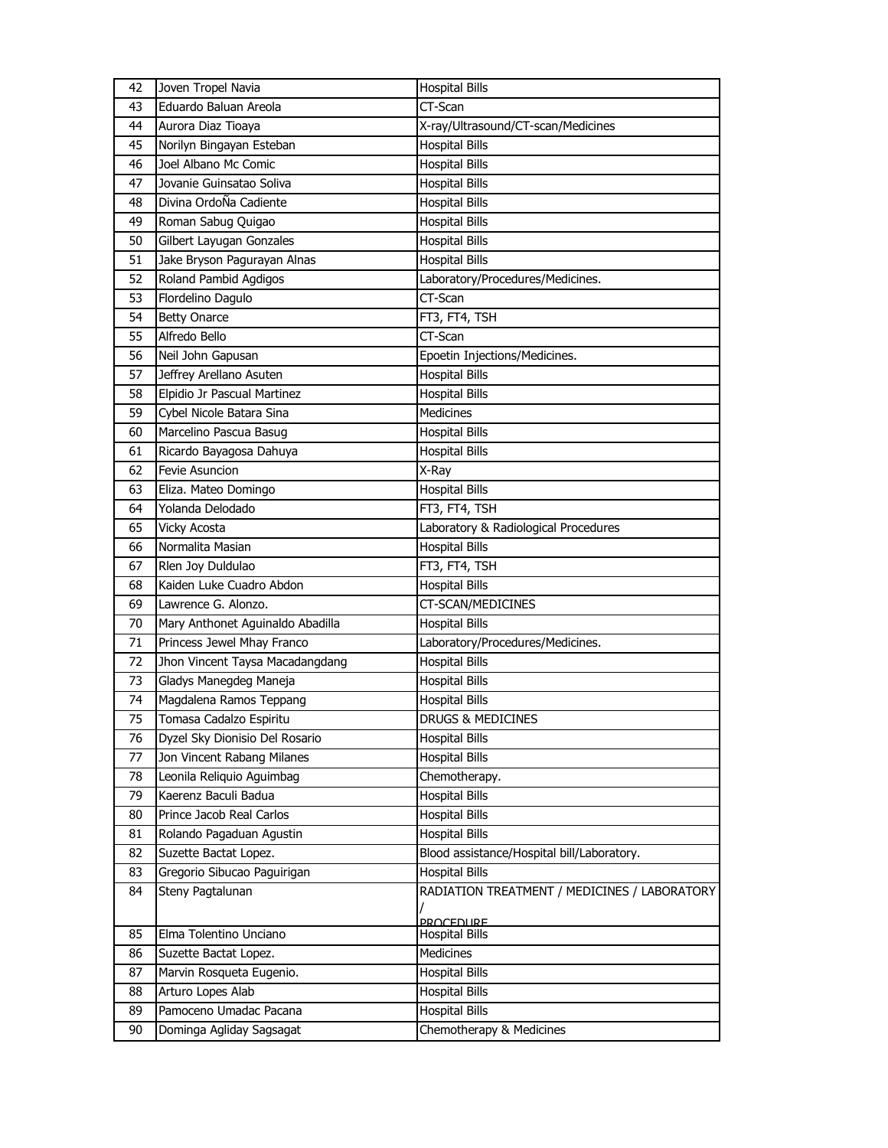| Eduardo Baluan Areola<br>CT-Scan<br>43<br>X-ray/Ultrasound/CT-scan/Medicines<br>44<br>Aurora Diaz Tioaya<br><b>Hospital Bills</b><br>45<br>Norilyn Bingayan Esteban<br>Joel Albano Mc Comic<br><b>Hospital Bills</b><br>46<br>47<br>Jovanie Guinsatao Soliva<br><b>Hospital Bills</b><br>Divina OrdoÑa Cadiente<br>48<br><b>Hospital Bills</b><br>Roman Sabug Quigao<br>49<br><b>Hospital Bills</b><br>Gilbert Layugan Gonzales<br>50<br><b>Hospital Bills</b><br><b>Hospital Bills</b><br>51<br>Jake Bryson Pagurayan Alnas<br>Roland Pambid Agdigos<br>52<br>Laboratory/Procedures/Medicines.<br>CT-Scan<br>53<br>Flordelino Dagulo<br>54<br>FT3, FT4, TSH<br><b>Betty Onarce</b><br>CT-Scan<br>55<br>Alfredo Bello<br>Epoetin Injections/Medicines.<br>56<br>Neil John Gapusan<br>57<br>Jeffrey Arellano Asuten<br><b>Hospital Bills</b><br>58<br>Elpidio Jr Pascual Martinez<br><b>Hospital Bills</b><br>Medicines<br>59<br>Cybel Nicole Batara Sina<br>Marcelino Pascua Basug<br>60<br><b>Hospital Bills</b><br><b>Hospital Bills</b><br>Ricardo Bayagosa Dahuya<br>61<br>Fevie Asuncion<br>62<br>X-Ray<br><b>Hospital Bills</b><br>63<br>Eliza. Mateo Domingo<br>Yolanda Delodado<br>64<br>FT3, FT4, TSH<br>Vicky Acosta<br>Laboratory & Radiological Procedures<br>65<br><b>Hospital Bills</b><br>Normalita Masian<br>66<br>Rlen Joy Duldulao<br>67<br>FT3, FT4, TSH<br>Kaiden Luke Cuadro Abdon<br>68<br><b>Hospital Bills</b><br>69<br>Lawrence G. Alonzo.<br>CT-SCAN/MEDICINES<br>Mary Anthonet Aguinaldo Abadilla<br>70<br><b>Hospital Bills</b><br>Princess Jewel Mhay Franco<br>Laboratory/Procedures/Medicines.<br>71<br>72<br>Jhon Vincent Taysa Macadangdang<br><b>Hospital Bills</b><br>Gladys Manegdeg Maneja<br>73<br><b>Hospital Bills</b><br>Magdalena Ramos Teppang<br>74<br>Hospital Bills<br>Tomasa Cadalzo Espiritu<br>75<br><b>DRUGS &amp; MEDICINES</b><br><b>Hospital Bills</b><br>Dyzel Sky Dionisio Del Rosario<br>76<br>77<br><b>Hospital Bills</b><br>Jon Vincent Rabang Milanes<br>Chemotherapy.<br>78<br>Leonila Reliquio Aguimbag<br>Kaerenz Baculi Badua<br><b>Hospital Bills</b><br>79<br>Prince Jacob Real Carlos<br><b>Hospital Bills</b><br>80 |
|----------------------------------------------------------------------------------------------------------------------------------------------------------------------------------------------------------------------------------------------------------------------------------------------------------------------------------------------------------------------------------------------------------------------------------------------------------------------------------------------------------------------------------------------------------------------------------------------------------------------------------------------------------------------------------------------------------------------------------------------------------------------------------------------------------------------------------------------------------------------------------------------------------------------------------------------------------------------------------------------------------------------------------------------------------------------------------------------------------------------------------------------------------------------------------------------------------------------------------------------------------------------------------------------------------------------------------------------------------------------------------------------------------------------------------------------------------------------------------------------------------------------------------------------------------------------------------------------------------------------------------------------------------------------------------------------------------------------------------------------------------------------------------------------------------------------------------------------------------------------------------------------------------------------------------------------------------------------------------------------------------------------------------------------------------------------------------------------------------------------------------------------------------------------------------------|
|                                                                                                                                                                                                                                                                                                                                                                                                                                                                                                                                                                                                                                                                                                                                                                                                                                                                                                                                                                                                                                                                                                                                                                                                                                                                                                                                                                                                                                                                                                                                                                                                                                                                                                                                                                                                                                                                                                                                                                                                                                                                                                                                                                                        |
|                                                                                                                                                                                                                                                                                                                                                                                                                                                                                                                                                                                                                                                                                                                                                                                                                                                                                                                                                                                                                                                                                                                                                                                                                                                                                                                                                                                                                                                                                                                                                                                                                                                                                                                                                                                                                                                                                                                                                                                                                                                                                                                                                                                        |
|                                                                                                                                                                                                                                                                                                                                                                                                                                                                                                                                                                                                                                                                                                                                                                                                                                                                                                                                                                                                                                                                                                                                                                                                                                                                                                                                                                                                                                                                                                                                                                                                                                                                                                                                                                                                                                                                                                                                                                                                                                                                                                                                                                                        |
|                                                                                                                                                                                                                                                                                                                                                                                                                                                                                                                                                                                                                                                                                                                                                                                                                                                                                                                                                                                                                                                                                                                                                                                                                                                                                                                                                                                                                                                                                                                                                                                                                                                                                                                                                                                                                                                                                                                                                                                                                                                                                                                                                                                        |
|                                                                                                                                                                                                                                                                                                                                                                                                                                                                                                                                                                                                                                                                                                                                                                                                                                                                                                                                                                                                                                                                                                                                                                                                                                                                                                                                                                                                                                                                                                                                                                                                                                                                                                                                                                                                                                                                                                                                                                                                                                                                                                                                                                                        |
|                                                                                                                                                                                                                                                                                                                                                                                                                                                                                                                                                                                                                                                                                                                                                                                                                                                                                                                                                                                                                                                                                                                                                                                                                                                                                                                                                                                                                                                                                                                                                                                                                                                                                                                                                                                                                                                                                                                                                                                                                                                                                                                                                                                        |
|                                                                                                                                                                                                                                                                                                                                                                                                                                                                                                                                                                                                                                                                                                                                                                                                                                                                                                                                                                                                                                                                                                                                                                                                                                                                                                                                                                                                                                                                                                                                                                                                                                                                                                                                                                                                                                                                                                                                                                                                                                                                                                                                                                                        |
|                                                                                                                                                                                                                                                                                                                                                                                                                                                                                                                                                                                                                                                                                                                                                                                                                                                                                                                                                                                                                                                                                                                                                                                                                                                                                                                                                                                                                                                                                                                                                                                                                                                                                                                                                                                                                                                                                                                                                                                                                                                                                                                                                                                        |
|                                                                                                                                                                                                                                                                                                                                                                                                                                                                                                                                                                                                                                                                                                                                                                                                                                                                                                                                                                                                                                                                                                                                                                                                                                                                                                                                                                                                                                                                                                                                                                                                                                                                                                                                                                                                                                                                                                                                                                                                                                                                                                                                                                                        |
|                                                                                                                                                                                                                                                                                                                                                                                                                                                                                                                                                                                                                                                                                                                                                                                                                                                                                                                                                                                                                                                                                                                                                                                                                                                                                                                                                                                                                                                                                                                                                                                                                                                                                                                                                                                                                                                                                                                                                                                                                                                                                                                                                                                        |
|                                                                                                                                                                                                                                                                                                                                                                                                                                                                                                                                                                                                                                                                                                                                                                                                                                                                                                                                                                                                                                                                                                                                                                                                                                                                                                                                                                                                                                                                                                                                                                                                                                                                                                                                                                                                                                                                                                                                                                                                                                                                                                                                                                                        |
|                                                                                                                                                                                                                                                                                                                                                                                                                                                                                                                                                                                                                                                                                                                                                                                                                                                                                                                                                                                                                                                                                                                                                                                                                                                                                                                                                                                                                                                                                                                                                                                                                                                                                                                                                                                                                                                                                                                                                                                                                                                                                                                                                                                        |
|                                                                                                                                                                                                                                                                                                                                                                                                                                                                                                                                                                                                                                                                                                                                                                                                                                                                                                                                                                                                                                                                                                                                                                                                                                                                                                                                                                                                                                                                                                                                                                                                                                                                                                                                                                                                                                                                                                                                                                                                                                                                                                                                                                                        |
|                                                                                                                                                                                                                                                                                                                                                                                                                                                                                                                                                                                                                                                                                                                                                                                                                                                                                                                                                                                                                                                                                                                                                                                                                                                                                                                                                                                                                                                                                                                                                                                                                                                                                                                                                                                                                                                                                                                                                                                                                                                                                                                                                                                        |
|                                                                                                                                                                                                                                                                                                                                                                                                                                                                                                                                                                                                                                                                                                                                                                                                                                                                                                                                                                                                                                                                                                                                                                                                                                                                                                                                                                                                                                                                                                                                                                                                                                                                                                                                                                                                                                                                                                                                                                                                                                                                                                                                                                                        |
|                                                                                                                                                                                                                                                                                                                                                                                                                                                                                                                                                                                                                                                                                                                                                                                                                                                                                                                                                                                                                                                                                                                                                                                                                                                                                                                                                                                                                                                                                                                                                                                                                                                                                                                                                                                                                                                                                                                                                                                                                                                                                                                                                                                        |
|                                                                                                                                                                                                                                                                                                                                                                                                                                                                                                                                                                                                                                                                                                                                                                                                                                                                                                                                                                                                                                                                                                                                                                                                                                                                                                                                                                                                                                                                                                                                                                                                                                                                                                                                                                                                                                                                                                                                                                                                                                                                                                                                                                                        |
|                                                                                                                                                                                                                                                                                                                                                                                                                                                                                                                                                                                                                                                                                                                                                                                                                                                                                                                                                                                                                                                                                                                                                                                                                                                                                                                                                                                                                                                                                                                                                                                                                                                                                                                                                                                                                                                                                                                                                                                                                                                                                                                                                                                        |
|                                                                                                                                                                                                                                                                                                                                                                                                                                                                                                                                                                                                                                                                                                                                                                                                                                                                                                                                                                                                                                                                                                                                                                                                                                                                                                                                                                                                                                                                                                                                                                                                                                                                                                                                                                                                                                                                                                                                                                                                                                                                                                                                                                                        |
|                                                                                                                                                                                                                                                                                                                                                                                                                                                                                                                                                                                                                                                                                                                                                                                                                                                                                                                                                                                                                                                                                                                                                                                                                                                                                                                                                                                                                                                                                                                                                                                                                                                                                                                                                                                                                                                                                                                                                                                                                                                                                                                                                                                        |
|                                                                                                                                                                                                                                                                                                                                                                                                                                                                                                                                                                                                                                                                                                                                                                                                                                                                                                                                                                                                                                                                                                                                                                                                                                                                                                                                                                                                                                                                                                                                                                                                                                                                                                                                                                                                                                                                                                                                                                                                                                                                                                                                                                                        |
|                                                                                                                                                                                                                                                                                                                                                                                                                                                                                                                                                                                                                                                                                                                                                                                                                                                                                                                                                                                                                                                                                                                                                                                                                                                                                                                                                                                                                                                                                                                                                                                                                                                                                                                                                                                                                                                                                                                                                                                                                                                                                                                                                                                        |
|                                                                                                                                                                                                                                                                                                                                                                                                                                                                                                                                                                                                                                                                                                                                                                                                                                                                                                                                                                                                                                                                                                                                                                                                                                                                                                                                                                                                                                                                                                                                                                                                                                                                                                                                                                                                                                                                                                                                                                                                                                                                                                                                                                                        |
|                                                                                                                                                                                                                                                                                                                                                                                                                                                                                                                                                                                                                                                                                                                                                                                                                                                                                                                                                                                                                                                                                                                                                                                                                                                                                                                                                                                                                                                                                                                                                                                                                                                                                                                                                                                                                                                                                                                                                                                                                                                                                                                                                                                        |
|                                                                                                                                                                                                                                                                                                                                                                                                                                                                                                                                                                                                                                                                                                                                                                                                                                                                                                                                                                                                                                                                                                                                                                                                                                                                                                                                                                                                                                                                                                                                                                                                                                                                                                                                                                                                                                                                                                                                                                                                                                                                                                                                                                                        |
|                                                                                                                                                                                                                                                                                                                                                                                                                                                                                                                                                                                                                                                                                                                                                                                                                                                                                                                                                                                                                                                                                                                                                                                                                                                                                                                                                                                                                                                                                                                                                                                                                                                                                                                                                                                                                                                                                                                                                                                                                                                                                                                                                                                        |
|                                                                                                                                                                                                                                                                                                                                                                                                                                                                                                                                                                                                                                                                                                                                                                                                                                                                                                                                                                                                                                                                                                                                                                                                                                                                                                                                                                                                                                                                                                                                                                                                                                                                                                                                                                                                                                                                                                                                                                                                                                                                                                                                                                                        |
|                                                                                                                                                                                                                                                                                                                                                                                                                                                                                                                                                                                                                                                                                                                                                                                                                                                                                                                                                                                                                                                                                                                                                                                                                                                                                                                                                                                                                                                                                                                                                                                                                                                                                                                                                                                                                                                                                                                                                                                                                                                                                                                                                                                        |
|                                                                                                                                                                                                                                                                                                                                                                                                                                                                                                                                                                                                                                                                                                                                                                                                                                                                                                                                                                                                                                                                                                                                                                                                                                                                                                                                                                                                                                                                                                                                                                                                                                                                                                                                                                                                                                                                                                                                                                                                                                                                                                                                                                                        |
|                                                                                                                                                                                                                                                                                                                                                                                                                                                                                                                                                                                                                                                                                                                                                                                                                                                                                                                                                                                                                                                                                                                                                                                                                                                                                                                                                                                                                                                                                                                                                                                                                                                                                                                                                                                                                                                                                                                                                                                                                                                                                                                                                                                        |
|                                                                                                                                                                                                                                                                                                                                                                                                                                                                                                                                                                                                                                                                                                                                                                                                                                                                                                                                                                                                                                                                                                                                                                                                                                                                                                                                                                                                                                                                                                                                                                                                                                                                                                                                                                                                                                                                                                                                                                                                                                                                                                                                                                                        |
|                                                                                                                                                                                                                                                                                                                                                                                                                                                                                                                                                                                                                                                                                                                                                                                                                                                                                                                                                                                                                                                                                                                                                                                                                                                                                                                                                                                                                                                                                                                                                                                                                                                                                                                                                                                                                                                                                                                                                                                                                                                                                                                                                                                        |
|                                                                                                                                                                                                                                                                                                                                                                                                                                                                                                                                                                                                                                                                                                                                                                                                                                                                                                                                                                                                                                                                                                                                                                                                                                                                                                                                                                                                                                                                                                                                                                                                                                                                                                                                                                                                                                                                                                                                                                                                                                                                                                                                                                                        |
|                                                                                                                                                                                                                                                                                                                                                                                                                                                                                                                                                                                                                                                                                                                                                                                                                                                                                                                                                                                                                                                                                                                                                                                                                                                                                                                                                                                                                                                                                                                                                                                                                                                                                                                                                                                                                                                                                                                                                                                                                                                                                                                                                                                        |
|                                                                                                                                                                                                                                                                                                                                                                                                                                                                                                                                                                                                                                                                                                                                                                                                                                                                                                                                                                                                                                                                                                                                                                                                                                                                                                                                                                                                                                                                                                                                                                                                                                                                                                                                                                                                                                                                                                                                                                                                                                                                                                                                                                                        |
|                                                                                                                                                                                                                                                                                                                                                                                                                                                                                                                                                                                                                                                                                                                                                                                                                                                                                                                                                                                                                                                                                                                                                                                                                                                                                                                                                                                                                                                                                                                                                                                                                                                                                                                                                                                                                                                                                                                                                                                                                                                                                                                                                                                        |
|                                                                                                                                                                                                                                                                                                                                                                                                                                                                                                                                                                                                                                                                                                                                                                                                                                                                                                                                                                                                                                                                                                                                                                                                                                                                                                                                                                                                                                                                                                                                                                                                                                                                                                                                                                                                                                                                                                                                                                                                                                                                                                                                                                                        |
|                                                                                                                                                                                                                                                                                                                                                                                                                                                                                                                                                                                                                                                                                                                                                                                                                                                                                                                                                                                                                                                                                                                                                                                                                                                                                                                                                                                                                                                                                                                                                                                                                                                                                                                                                                                                                                                                                                                                                                                                                                                                                                                                                                                        |
| Rolando Pagaduan Agustin<br><b>Hospital Bills</b><br>81                                                                                                                                                                                                                                                                                                                                                                                                                                                                                                                                                                                                                                                                                                                                                                                                                                                                                                                                                                                                                                                                                                                                                                                                                                                                                                                                                                                                                                                                                                                                                                                                                                                                                                                                                                                                                                                                                                                                                                                                                                                                                                                                |
| Blood assistance/Hospital bill/Laboratory.<br>Suzette Bactat Lopez.<br>82                                                                                                                                                                                                                                                                                                                                                                                                                                                                                                                                                                                                                                                                                                                                                                                                                                                                                                                                                                                                                                                                                                                                                                                                                                                                                                                                                                                                                                                                                                                                                                                                                                                                                                                                                                                                                                                                                                                                                                                                                                                                                                              |
| Gregorio Sibucao Paguirigan<br><b>Hospital Bills</b><br>83                                                                                                                                                                                                                                                                                                                                                                                                                                                                                                                                                                                                                                                                                                                                                                                                                                                                                                                                                                                                                                                                                                                                                                                                                                                                                                                                                                                                                                                                                                                                                                                                                                                                                                                                                                                                                                                                                                                                                                                                                                                                                                                             |
| Steny Pagtalunan<br>RADIATION TREATMENT / MEDICINES / LABORATORY<br>84                                                                                                                                                                                                                                                                                                                                                                                                                                                                                                                                                                                                                                                                                                                                                                                                                                                                                                                                                                                                                                                                                                                                                                                                                                                                                                                                                                                                                                                                                                                                                                                                                                                                                                                                                                                                                                                                                                                                                                                                                                                                                                                 |
|                                                                                                                                                                                                                                                                                                                                                                                                                                                                                                                                                                                                                                                                                                                                                                                                                                                                                                                                                                                                                                                                                                                                                                                                                                                                                                                                                                                                                                                                                                                                                                                                                                                                                                                                                                                                                                                                                                                                                                                                                                                                                                                                                                                        |
| <b>PROCEDURE</b><br>Elma Tolentino Unciano<br>85<br><b>Hospital Bills</b>                                                                                                                                                                                                                                                                                                                                                                                                                                                                                                                                                                                                                                                                                                                                                                                                                                                                                                                                                                                                                                                                                                                                                                                                                                                                                                                                                                                                                                                                                                                                                                                                                                                                                                                                                                                                                                                                                                                                                                                                                                                                                                              |
| Medicines<br>Suzette Bactat Lopez.<br>86                                                                                                                                                                                                                                                                                                                                                                                                                                                                                                                                                                                                                                                                                                                                                                                                                                                                                                                                                                                                                                                                                                                                                                                                                                                                                                                                                                                                                                                                                                                                                                                                                                                                                                                                                                                                                                                                                                                                                                                                                                                                                                                                               |
| <b>Hospital Bills</b><br>87<br>Marvin Rosqueta Eugenio.                                                                                                                                                                                                                                                                                                                                                                                                                                                                                                                                                                                                                                                                                                                                                                                                                                                                                                                                                                                                                                                                                                                                                                                                                                                                                                                                                                                                                                                                                                                                                                                                                                                                                                                                                                                                                                                                                                                                                                                                                                                                                                                                |
| Arturo Lopes Alab<br><b>Hospital Bills</b><br>88                                                                                                                                                                                                                                                                                                                                                                                                                                                                                                                                                                                                                                                                                                                                                                                                                                                                                                                                                                                                                                                                                                                                                                                                                                                                                                                                                                                                                                                                                                                                                                                                                                                                                                                                                                                                                                                                                                                                                                                                                                                                                                                                       |
| Pamoceno Umadac Pacana<br><b>Hospital Bills</b><br>89                                                                                                                                                                                                                                                                                                                                                                                                                                                                                                                                                                                                                                                                                                                                                                                                                                                                                                                                                                                                                                                                                                                                                                                                                                                                                                                                                                                                                                                                                                                                                                                                                                                                                                                                                                                                                                                                                                                                                                                                                                                                                                                                  |
| Chemotherapy & Medicines<br>90<br>Dominga Agliday Sagsagat                                                                                                                                                                                                                                                                                                                                                                                                                                                                                                                                                                                                                                                                                                                                                                                                                                                                                                                                                                                                                                                                                                                                                                                                                                                                                                                                                                                                                                                                                                                                                                                                                                                                                                                                                                                                                                                                                                                                                                                                                                                                                                                             |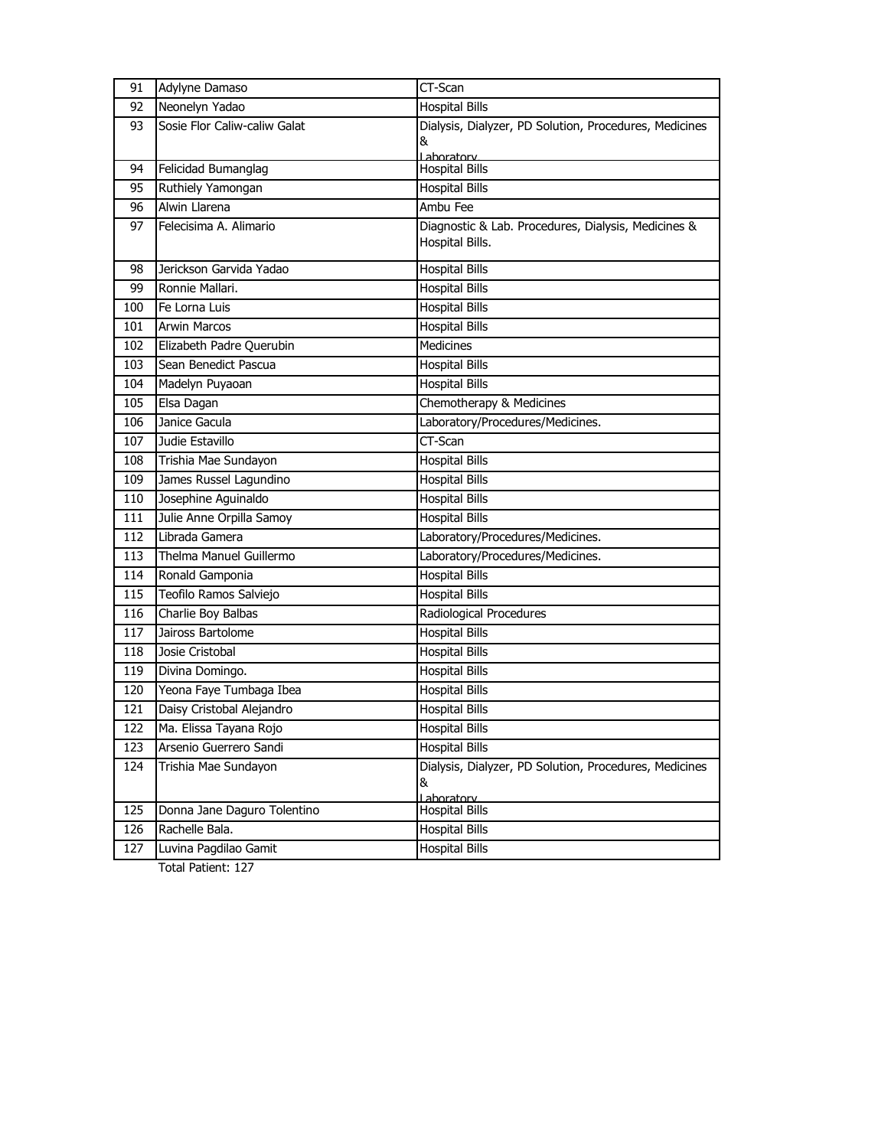| 91  | Adylyne Damaso               | CT-Scan                                                |
|-----|------------------------------|--------------------------------------------------------|
| 92  | Neonelyn Yadao               | <b>Hospital Bills</b>                                  |
| 93  | Sosie Flor Caliw-caliw Galat | Dialysis, Dialyzer, PD Solution, Procedures, Medicines |
|     |                              | &                                                      |
| 94  | Felicidad Bumanglag          | Laboratory<br><b>Hospital Bills</b>                    |
| 95  | Ruthiely Yamongan            | <b>Hospital Bills</b>                                  |
| 96  | Alwin Llarena                | Ambu Fee                                               |
| 97  | Felecisima A. Alimario       | Diagnostic & Lab. Procedures, Dialysis, Medicines &    |
|     |                              | Hospital Bills.                                        |
| 98  | Jerickson Garvida Yadao      | <b>Hospital Bills</b>                                  |
| 99  | Ronnie Mallari.              | <b>Hospital Bills</b>                                  |
| 100 | Fe Lorna Luis                | <b>Hospital Bills</b>                                  |
| 101 | <b>Arwin Marcos</b>          | <b>Hospital Bills</b>                                  |
| 102 | Elizabeth Padre Querubin     | Medicines                                              |
| 103 | Sean Benedict Pascua         | <b>Hospital Bills</b>                                  |
| 104 | Madelyn Puyaoan              | <b>Hospital Bills</b>                                  |
| 105 | Elsa Dagan                   | Chemotherapy & Medicines                               |
| 106 | Janice Gacula                | Laboratory/Procedures/Medicines.                       |
| 107 | Judie Estavillo              | CT-Scan                                                |
| 108 | Trishia Mae Sundayon         | <b>Hospital Bills</b>                                  |
| 109 | James Russel Lagundino       | <b>Hospital Bills</b>                                  |
| 110 | Josephine Aquinaldo          | <b>Hospital Bills</b>                                  |
| 111 | Julie Anne Orpilla Samoy     | <b>Hospital Bills</b>                                  |
| 112 | Librada Gamera               | Laboratory/Procedures/Medicines.                       |
| 113 | Thelma Manuel Guillermo      | Laboratory/Procedures/Medicines.                       |
| 114 | Ronald Gamponia              | <b>Hospital Bills</b>                                  |
| 115 | Teofilo Ramos Salviejo       | <b>Hospital Bills</b>                                  |
| 116 | Charlie Boy Balbas           | Radiological Procedures                                |
| 117 | Jaiross Bartolome            | <b>Hospital Bills</b>                                  |
| 118 | Josie Cristobal              | <b>Hospital Bills</b>                                  |
| 119 | Divina Domingo.              | <b>Hospital Bills</b>                                  |
| 120 | Yeona Faye Tumbaga Ibea      | <b>Hospital Bills</b>                                  |
| 121 | Daisy Cristobal Alejandro    | <b>Hospital Bills</b>                                  |
| 122 | Ma. Elissa Tayana Rojo       | <b>Hospital Bills</b>                                  |
| 123 | Arsenio Guerrero Sandi       | <b>Hospital Bills</b>                                  |
| 124 | Trishia Mae Sundayon         | Dialysis, Dialyzer, PD Solution, Procedures, Medicines |
|     |                              | &                                                      |
| 125 | Donna Jane Daguro Tolentino  | Laboratory<br><b>Hospital Bills</b>                    |
| 126 | Rachelle Bala.               | <b>Hospital Bills</b>                                  |
| 127 | Luvina Pagdilao Gamit        | <b>Hospital Bills</b>                                  |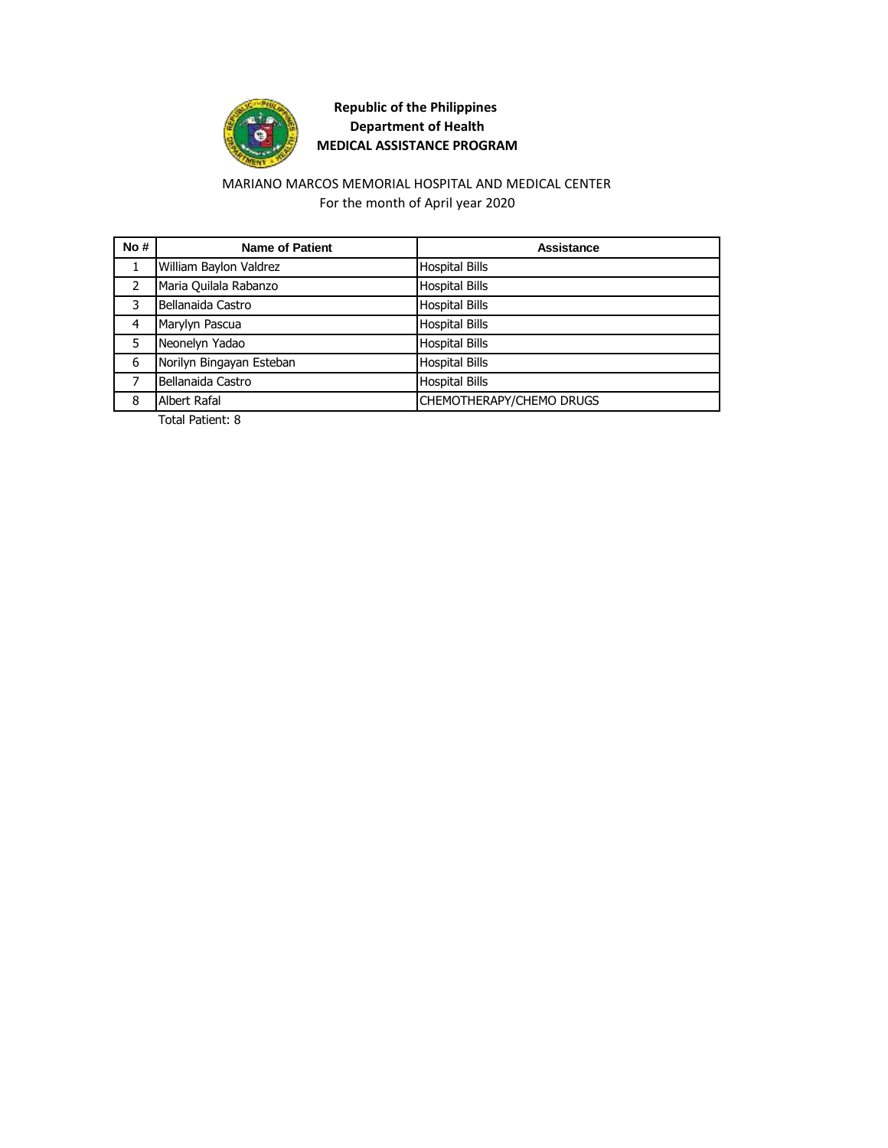

### MARIANO MARCOS MEMORIAL HOSPITAL AND MEDICAL CENTER For the month of April year 2020

| No# | <b>Name of Patient</b>   | Assistance               |
|-----|--------------------------|--------------------------|
|     | William Baylon Valdrez   | <b>Hospital Bills</b>    |
| 2   | Maria Quilala Rabanzo    | <b>Hospital Bills</b>    |
| 3   | Bellanaida Castro        | <b>Hospital Bills</b>    |
| 4   | Marylyn Pascua           | <b>Hospital Bills</b>    |
| 5   | Neonelyn Yadao           | <b>Hospital Bills</b>    |
| 6   | Norilyn Bingayan Esteban | <b>Hospital Bills</b>    |
|     | Bellanaida Castro        | <b>Hospital Bills</b>    |
| 8   | Albert Rafal             | CHEMOTHERAPY/CHEMO DRUGS |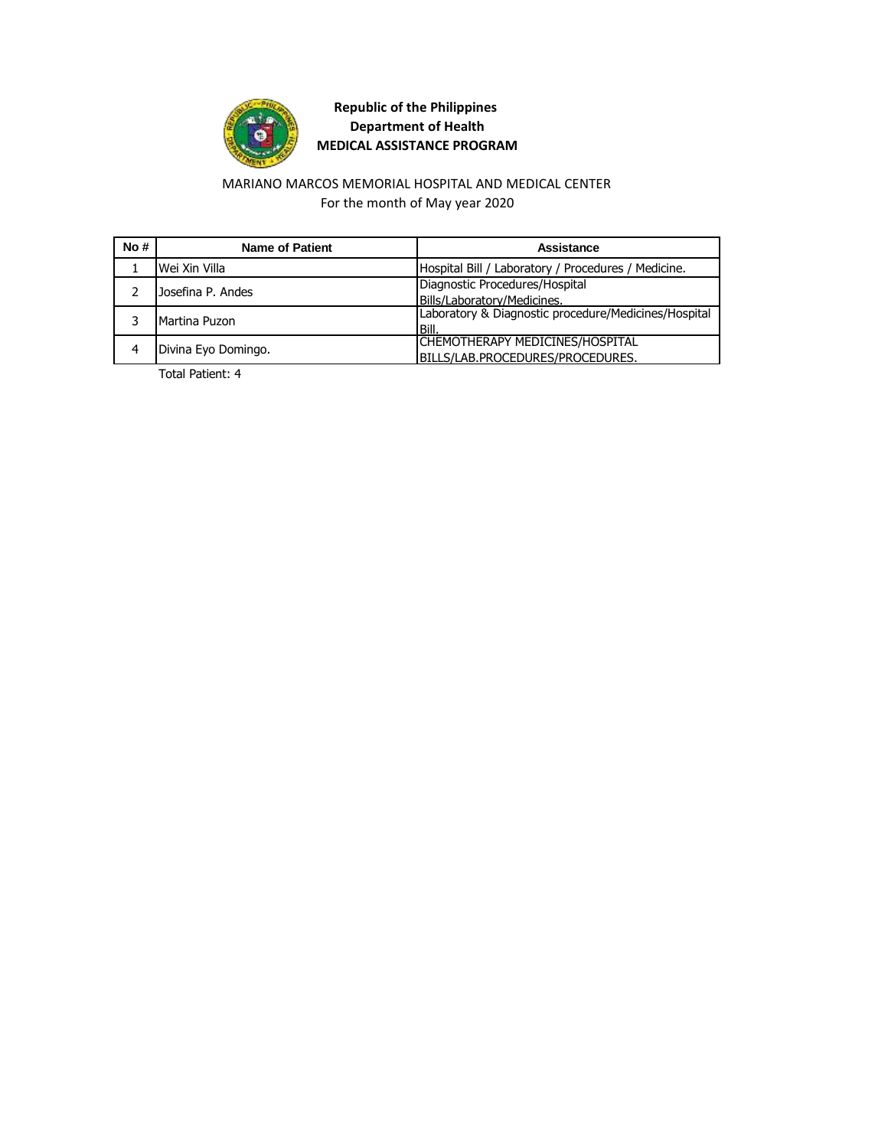

### For the month of May year 2020 MARIANO MARCOS MEMORIAL HOSPITAL AND MEDICAL CENTER

| No# | <b>Name of Patient</b> | Assistance                                           |
|-----|------------------------|------------------------------------------------------|
|     | Wei Xin Villa          | Hospital Bill / Laboratory / Procedures / Medicine.  |
|     | Josefina P. Andes      | Diagnostic Procedures/Hospital                       |
|     |                        | Bills/Laboratory/Medicines.                          |
|     | Martina Puzon          | Laboratory & Diagnostic procedure/Medicines/Hospital |
|     |                        | <b>Bill</b>                                          |
|     | Divina Eyo Domingo.    | CHEMOTHERAPY MEDICINES/HOSPITAL                      |
|     |                        | BILLS/LAB.PROCEDURES/PROCEDURES.                     |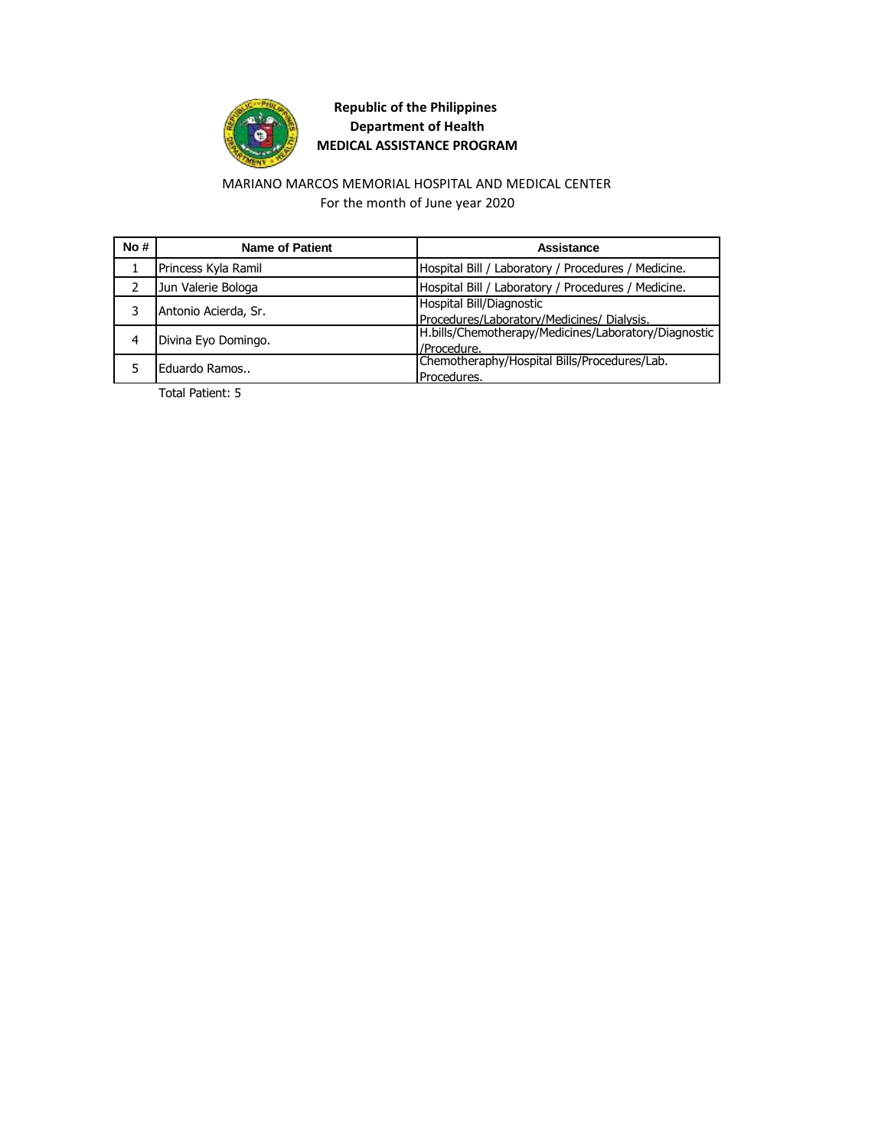

### MARIANO MARCOS MEMORIAL HOSPITAL AND MEDICAL CENTER For the month of June year 2020

| No# | <b>Name of Patient</b> | Assistance                                           |
|-----|------------------------|------------------------------------------------------|
|     | Princess Kyla Ramil    | Hospital Bill / Laboratory / Procedures / Medicine.  |
|     | Jun Valerie Bologa     | Hospital Bill / Laboratory / Procedures / Medicine.  |
|     | Antonio Acierda, Sr.   | Hospital Bill/Diagnostic                             |
|     |                        | Procedures/Laboratory/Medicines/ Dialysis.           |
|     | Divina Eyo Domingo.    | H.bills/Chemotherapy/Medicines/Laboratory/Diagnostic |
|     |                        | /Procedure.                                          |
|     | Eduardo Ramos          | Chemotheraphy/Hospital Bills/Procedures/Lab.         |
|     |                        | Procedures.                                          |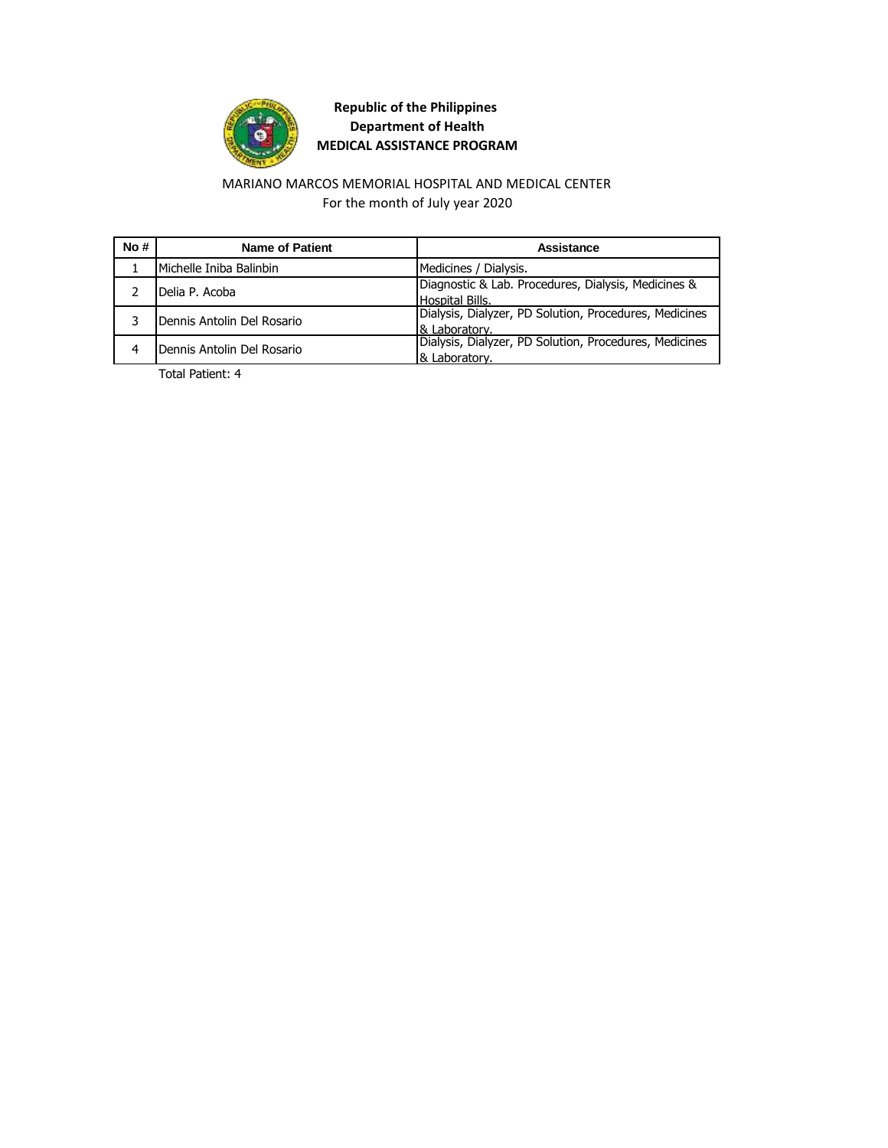

### MARIANO MARCOS MEMORIAL HOSPITAL AND MEDICAL CENTER For the month of July year 2020

| No# | Name of Patient            | Assistance                                             |
|-----|----------------------------|--------------------------------------------------------|
|     | Michelle Iniba Balinbin    | Medicines / Dialysis.                                  |
|     | Delia P. Acoba             | Diagnostic & Lab. Procedures, Dialysis, Medicines &    |
|     |                            | Hospital Bills.                                        |
|     | Dennis Antolin Del Rosario | Dialysis, Dialyzer, PD Solution, Procedures, Medicines |
|     |                            | 8 Laboratory.                                          |
|     | Dennis Antolin Del Rosario | Dialysis, Dialyzer, PD Solution, Procedures, Medicines |
|     |                            | & Laboratory.                                          |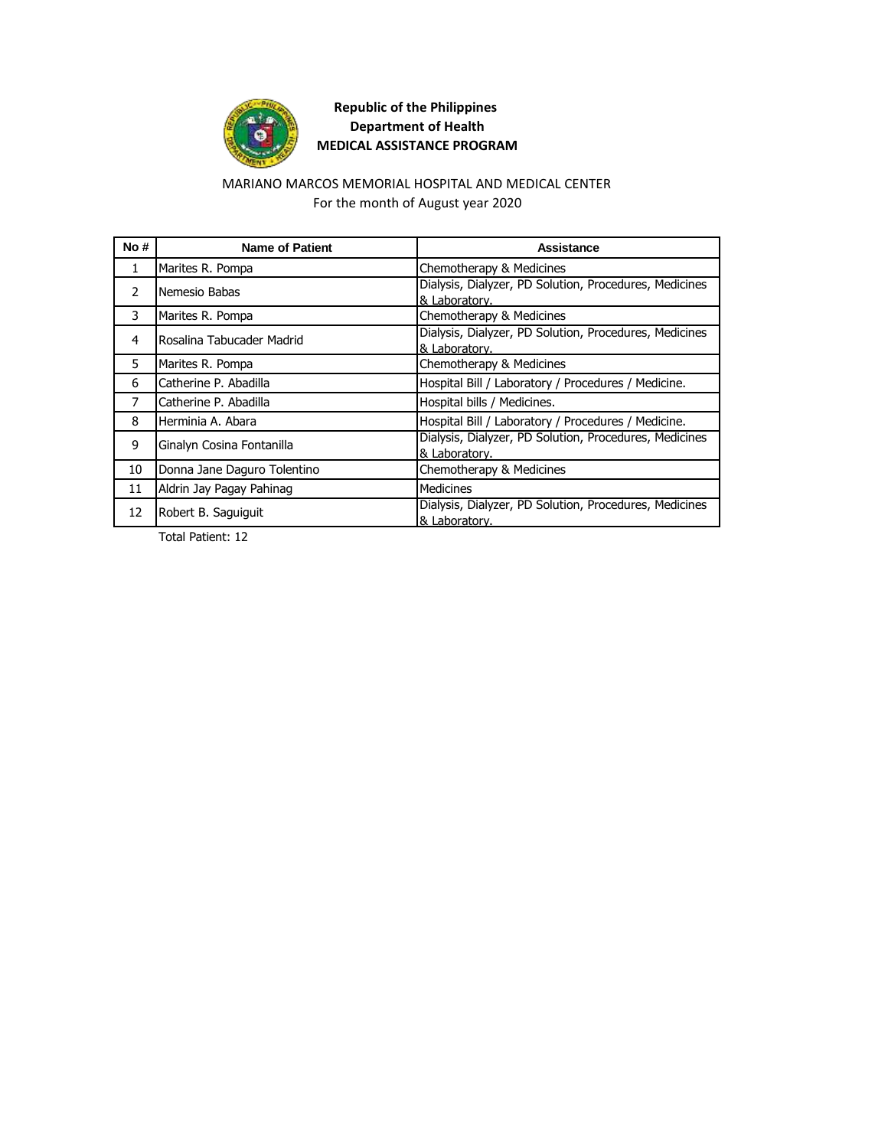

### MARIANO MARCOS MEMORIAL HOSPITAL AND MEDICAL CENTER For the month of August year 2020

| No#           | <b>Name of Patient</b>      | Assistance                                                              |
|---------------|-----------------------------|-------------------------------------------------------------------------|
| 1             | Marites R. Pompa            | Chemotherapy & Medicines                                                |
| $\mathcal{P}$ | Nemesio Babas               | Dialysis, Dialyzer, PD Solution, Procedures, Medicines<br>& Laboratory. |
| 3             | Marites R. Pompa            | Chemotherapy & Medicines                                                |
| 4             | Rosalina Tabucader Madrid   | Dialysis, Dialyzer, PD Solution, Procedures, Medicines<br>& Laboratory. |
| 5             | Marites R. Pompa            | Chemotherapy & Medicines                                                |
| 6             | Catherine P. Abadilla       | Hospital Bill / Laboratory / Procedures / Medicine.                     |
| 7             | Catherine P. Abadilla       | Hospital bills / Medicines.                                             |
| 8             | Herminia A. Abara           | Hospital Bill / Laboratory / Procedures / Medicine.                     |
| 9             | Ginalyn Cosina Fontanilla   | Dialysis, Dialyzer, PD Solution, Procedures, Medicines<br>& Laboratory. |
| 10            | Donna Jane Daguro Tolentino | Chemotherapy & Medicines                                                |
| 11            | Aldrin Jay Pagay Pahinag    | <b>Medicines</b>                                                        |
| 12            | Robert B. Saguiguit         | Dialysis, Dialyzer, PD Solution, Procedures, Medicines<br>& Laboratory. |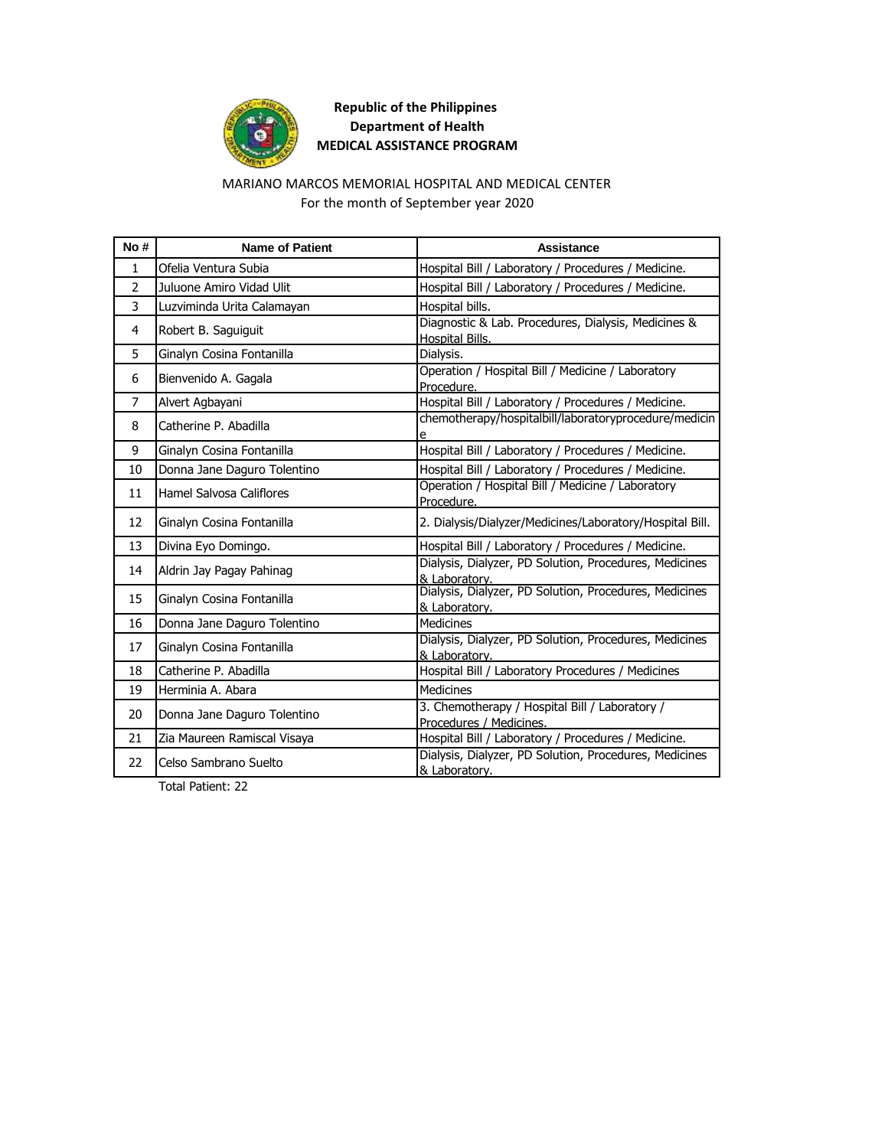

### MARIANO MARCOS MEMORIAL HOSPITAL AND MEDICAL CENTER For the month of September year 2020

| No#            | <b>Name of Patient</b>      | <b>Assistance</b>                                                         |
|----------------|-----------------------------|---------------------------------------------------------------------------|
| $\mathbf{1}$   | Ofelia Ventura Subia        | Hospital Bill / Laboratory / Procedures / Medicine.                       |
| $\overline{2}$ | Juluone Amiro Vidad Ulit    | Hospital Bill / Laboratory / Procedures / Medicine.                       |
| 3              | Luzviminda Urita Calamayan  | Hospital bills.                                                           |
| 4              | Robert B. Saguiguit         | Diagnostic & Lab. Procedures, Dialysis, Medicines &<br>Hospital Bills.    |
| 5              | Ginalyn Cosina Fontanilla   | Dialysis.                                                                 |
| 6              | Bienvenido A. Gagala        | Operation / Hospital Bill / Medicine / Laboratory<br>Procedure.           |
| $\overline{7}$ | Alvert Agbayani             | Hospital Bill / Laboratory / Procedures / Medicine.                       |
| 8              | Catherine P. Abadilla       | chemotherapy/hospitalbill/laboratoryprocedure/medicin<br>e                |
| 9              | Ginalyn Cosina Fontanilla   | Hospital Bill / Laboratory / Procedures / Medicine.                       |
| 10             | Donna Jane Daguro Tolentino | Hospital Bill / Laboratory / Procedures / Medicine.                       |
| 11             | Hamel Salvosa Califlores    | Operation / Hospital Bill / Medicine / Laboratory<br>Procedure.           |
| 12             | Ginalyn Cosina Fontanilla   | 2. Dialysis/Dialyzer/Medicines/Laboratory/Hospital Bill.                  |
| 13             | Divina Eyo Domingo.         | Hospital Bill / Laboratory / Procedures / Medicine.                       |
| 14             | Aldrin Jay Pagay Pahinag    | Dialysis, Dialyzer, PD Solution, Procedures, Medicines<br>& Laboratory.   |
| 15             | Ginalyn Cosina Fontanilla   | Dialysis, Dialyzer, PD Solution, Procedures, Medicines<br>& Laboratory.   |
| 16             | Donna Jane Daguro Tolentino | <b>Medicines</b>                                                          |
| 17             | Ginalyn Cosina Fontanilla   | Dialysis, Dialyzer, PD Solution, Procedures, Medicines<br>& Laboratory.   |
| 18             | Catherine P. Abadilla       | Hospital Bill / Laboratory Procedures / Medicines                         |
| 19             | Herminia A. Abara           | <b>Medicines</b>                                                          |
| 20             | Donna Jane Daguro Tolentino | 3. Chemotherapy / Hospital Bill / Laboratory /<br>Procedures / Medicines. |
| 21             | Zia Maureen Ramiscal Visaya | Hospital Bill / Laboratory / Procedures / Medicine.                       |
| 22             | Celso Sambrano Suelto       | Dialysis, Dialyzer, PD Solution, Procedures, Medicines<br>& Laboratory.   |